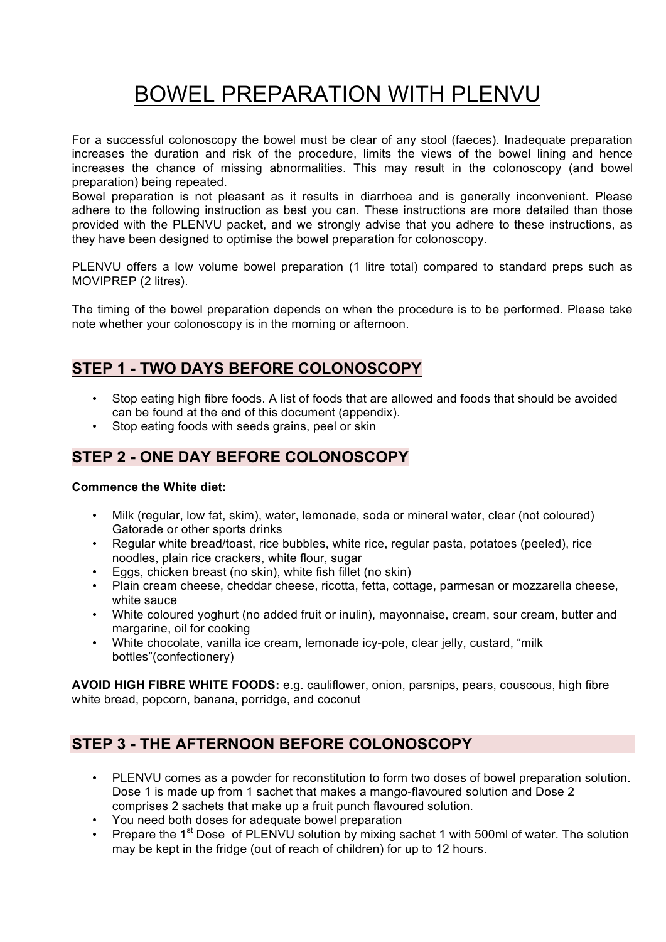# BOWEL PREPARATION WITH PLENVU

For a successful colonoscopy the bowel must be clear of any stool (faeces). Inadequate preparation increases the duration and risk of the procedure, limits the views of the bowel lining and hence increases the chance of missing abnormalities. This may result in the colonoscopy (and bowel preparation) being repeated.

Bowel preparation is not pleasant as it results in diarrhoea and is generally inconvenient. Please adhere to the following instruction as best you can. These instructions are more detailed than those provided with the PLENVU packet, and we strongly advise that you adhere to these instructions, as they have been designed to optimise the bowel preparation for colonoscopy.

PLENVU offers a low volume bowel preparation (1 litre total) compared to standard preps such as MOVIPREP (2 litres).

The timing of the bowel preparation depends on when the procedure is to be performed. Please take note whether your colonoscopy is in the morning or afternoon.

# **STEP 1 - TWO DAYS BEFORE COLONOSCOPY**

- Stop eating high fibre foods. A list of foods that are allowed and foods that should be avoided can be found at the end of this document (appendix).
- Stop eating foods with seeds grains, peel or skin

# **STEP 2 - ONE DAY BEFORE COLONOSCOPY**

#### **Commence the White diet:**

- Milk (regular, low fat, skim), water, lemonade, soda or mineral water, clear (not coloured) Gatorade or other sports drinks
- Regular white bread/toast, rice bubbles, white rice, regular pasta, potatoes (peeled), rice noodles, plain rice crackers, white flour, sugar
- Eggs, chicken breast (no skin), white fish fillet (no skin)<br>• Plain cream cheese cheddar cheese, ricotta, fetta, cott
- Plain cream cheese, cheddar cheese, ricotta, fetta, cottage, parmesan or mozzarella cheese, white sauce
- White coloured yoghurt (no added fruit or inulin), mayonnaise, cream, sour cream, butter and margarine, oil for cooking
- White chocolate, vanilla ice cream, lemonade icy-pole, clear jelly, custard, "milk bottles"(confectionery)

**AVOID HIGH FIBRE WHITE FOODS:** e.g. cauliflower, onion, parsnips, pears, couscous, high fibre white bread, popcorn, banana, porridge, and coconut

# **STEP 3 - THE AFTERNOON BEFORE COLONOSCOPY**

- PLENVU comes as a powder for reconstitution to form two doses of bowel preparation solution. Dose 1 is made up from 1 sachet that makes a mango-flavoured solution and Dose 2 comprises 2 sachets that make up a fruit punch flavoured solution.
- You need both doses for adequate bowel preparation<br>• Prepare the 1<sup>st</sup> Dose, of PLENVU solution by mixing s
- Prepare the 1<sup>st</sup> Dose of PLENVU solution by mixing sachet 1 with 500ml of water. The solution may be kept in the fridge (out of reach of children) for up to 12 hours.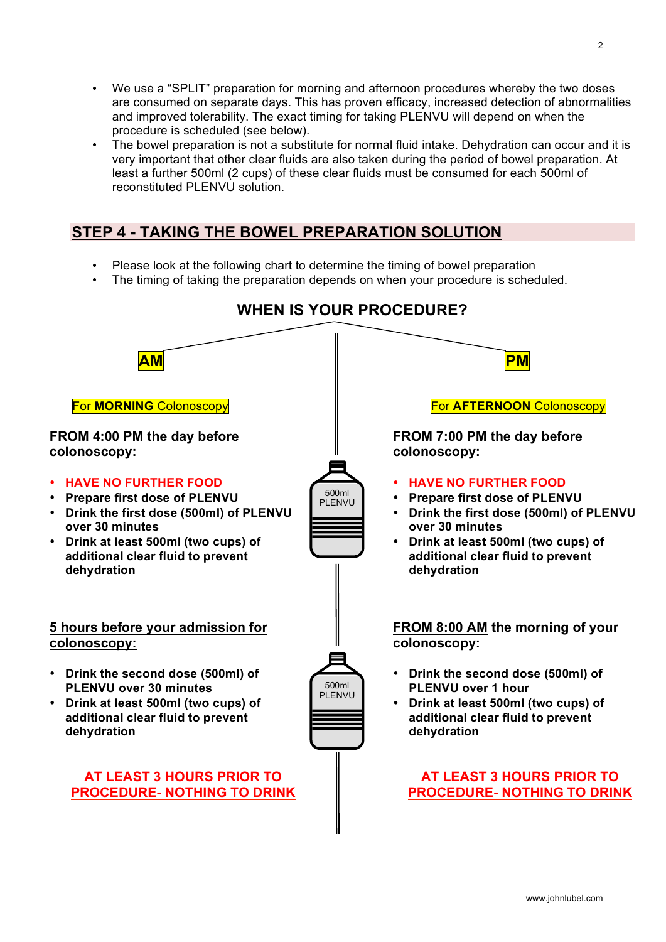- We use a "SPLIT" preparation for morning and afternoon procedures whereby the two doses are consumed on separate days. This has proven efficacy, increased detection of abnormalities and improved tolerability. The exact timing for taking PLENVU will depend on when the procedure is scheduled (see below).
- The bowel preparation is not a substitute for normal fluid intake. Dehydration can occur and it is very important that other clear fluids are also taken during the period of bowel preparation. At least a further 500ml (2 cups) of these clear fluids must be consumed for each 500ml of reconstituted PLENVU solution.

# **STEP 4 - TAKING THE BOWEL PREPARATION SOLUTION**

- Please look at the following chart to determine the timing of bowel preparation
- The timing of taking the preparation depends on when your procedure is scheduled.

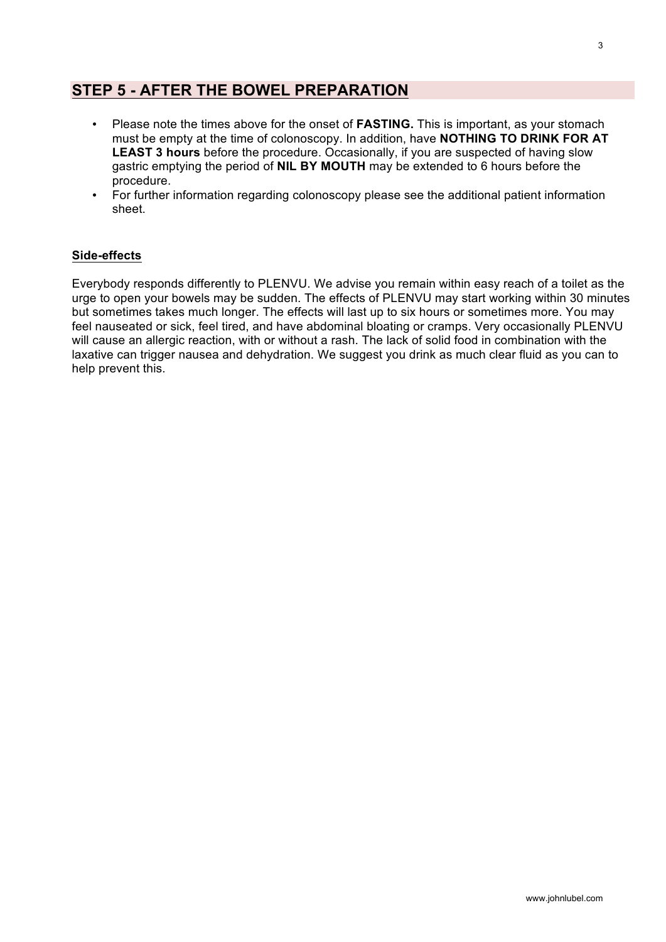## **STEP 5 - AFTER THE BOWEL PREPARATION**

- Please note the times above for the onset of **FASTING.** This is important, as your stomach must be empty at the time of colonoscopy. In addition, have **NOTHING TO DRINK FOR AT LEAST 3 hours** before the procedure. Occasionally, if you are suspected of having slow gastric emptying the period of **NIL BY MOUTH** may be extended to 6 hours before the procedure.
- For further information regarding colonoscopy please see the additional patient information sheet.

#### **Side-effects**

Everybody responds differently to PLENVU. We advise you remain within easy reach of a toilet as the urge to open your bowels may be sudden. The effects of PLENVU may start working within 30 minutes but sometimes takes much longer. The effects will last up to six hours or sometimes more. You may feel nauseated or sick, feel tired, and have abdominal bloating or cramps. Very occasionally PLENVU will cause an allergic reaction, with or without a rash. The lack of solid food in combination with the laxative can trigger nausea and dehydration. We suggest you drink as much clear fluid as you can to help prevent this.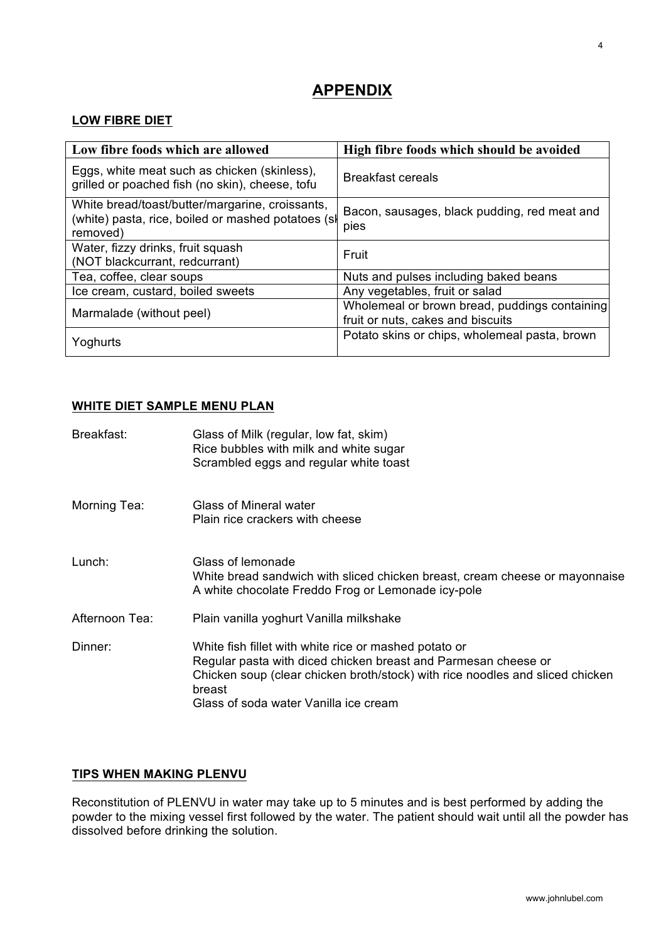# **APPENDIX**

#### **LOW FIBRE DIET**

| Low fibre foods which are allowed                                                                                 | High fibre foods which should be avoided                                           |
|-------------------------------------------------------------------------------------------------------------------|------------------------------------------------------------------------------------|
| Eggs, white meat such as chicken (skinless),<br>grilled or poached fish (no skin), cheese, tofu                   | <b>Breakfast cereals</b>                                                           |
| White bread/toast/butter/margarine, croissants,<br>(white) pasta, rice, boiled or mashed potatoes (sl<br>removed) | Bacon, sausages, black pudding, red meat and<br>pies                               |
| Water, fizzy drinks, fruit squash<br>(NOT blackcurrant, redcurrant)                                               | Fruit                                                                              |
| Tea, coffee, clear soups                                                                                          | Nuts and pulses including baked beans                                              |
| Ice cream, custard, boiled sweets                                                                                 | Any vegetables, fruit or salad                                                     |
| Marmalade (without peel)                                                                                          | Wholemeal or brown bread, puddings containing<br>fruit or nuts, cakes and biscuits |
| Yoghurts                                                                                                          | Potato skins or chips, wholemeal pasta, brown                                      |

#### **WHITE DIET SAMPLE MENU PLAN**

| Breakfast:     | Glass of Milk (regular, low fat, skim)<br>Rice bubbles with milk and white sugar<br>Scrambled eggs and regular white toast                                                                                                                                  |
|----------------|-------------------------------------------------------------------------------------------------------------------------------------------------------------------------------------------------------------------------------------------------------------|
| Morning Tea:   | Glass of Mineral water<br>Plain rice crackers with cheese                                                                                                                                                                                                   |
| Lunch:         | Glass of lemonade<br>White bread sandwich with sliced chicken breast, cream cheese or mayonnaise<br>A white chocolate Freddo Frog or Lemonade icy-pole                                                                                                      |
| Afternoon Tea: | Plain vanilla yoghurt Vanilla milkshake                                                                                                                                                                                                                     |
| Dinner:        | White fish fillet with white rice or mashed potato or<br>Regular pasta with diced chicken breast and Parmesan cheese or<br>Chicken soup (clear chicken broth/stock) with rice noodles and sliced chicken<br>breast<br>Glass of soda water Vanilla ice cream |

### **TIPS WHEN MAKING PLENVU**

Reconstitution of PLENVU in water may take up to 5 minutes and is best performed by adding the powder to the mixing vessel first followed by the water. The patient should wait until all the powder has dissolved before drinking the solution.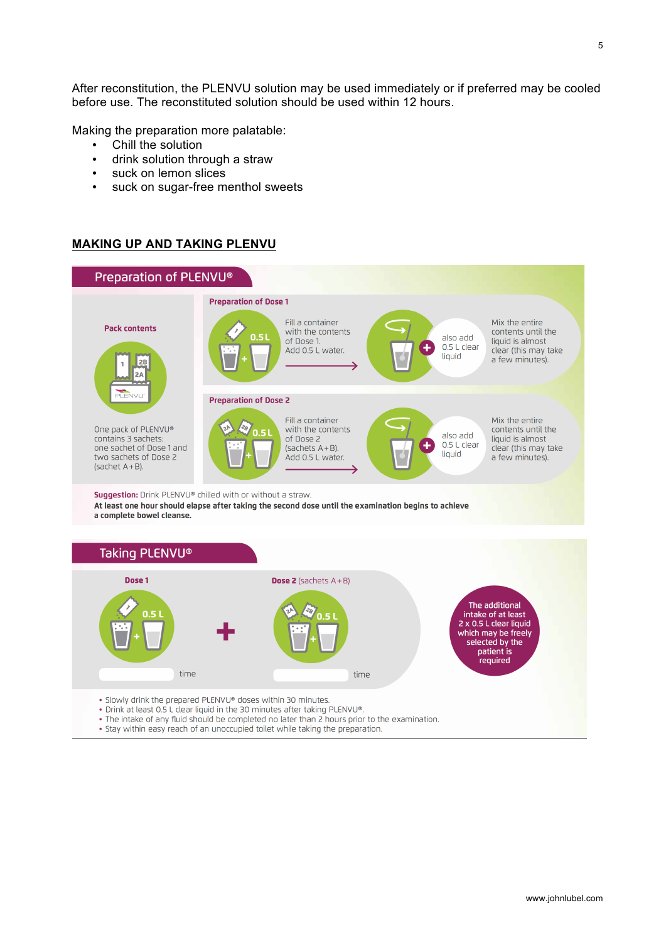After reconstitution, the PLENVU solution may be used immediately or if preferred may be cooled before use. The reconstituted solution should be used within 12 hours.

Making the preparation more palatable:

- Chill the solution
- drink solution through a straw
- suck on lemon slices
- suck on sugar-free menthol sweets

#### **MAKING UP AND TAKING PLENVU**



- . The intake of any fluid should be completed no later than 2 hours prior to the examination.
- . Stay within easy reach of an unoccupied toilet while taking the preparation.